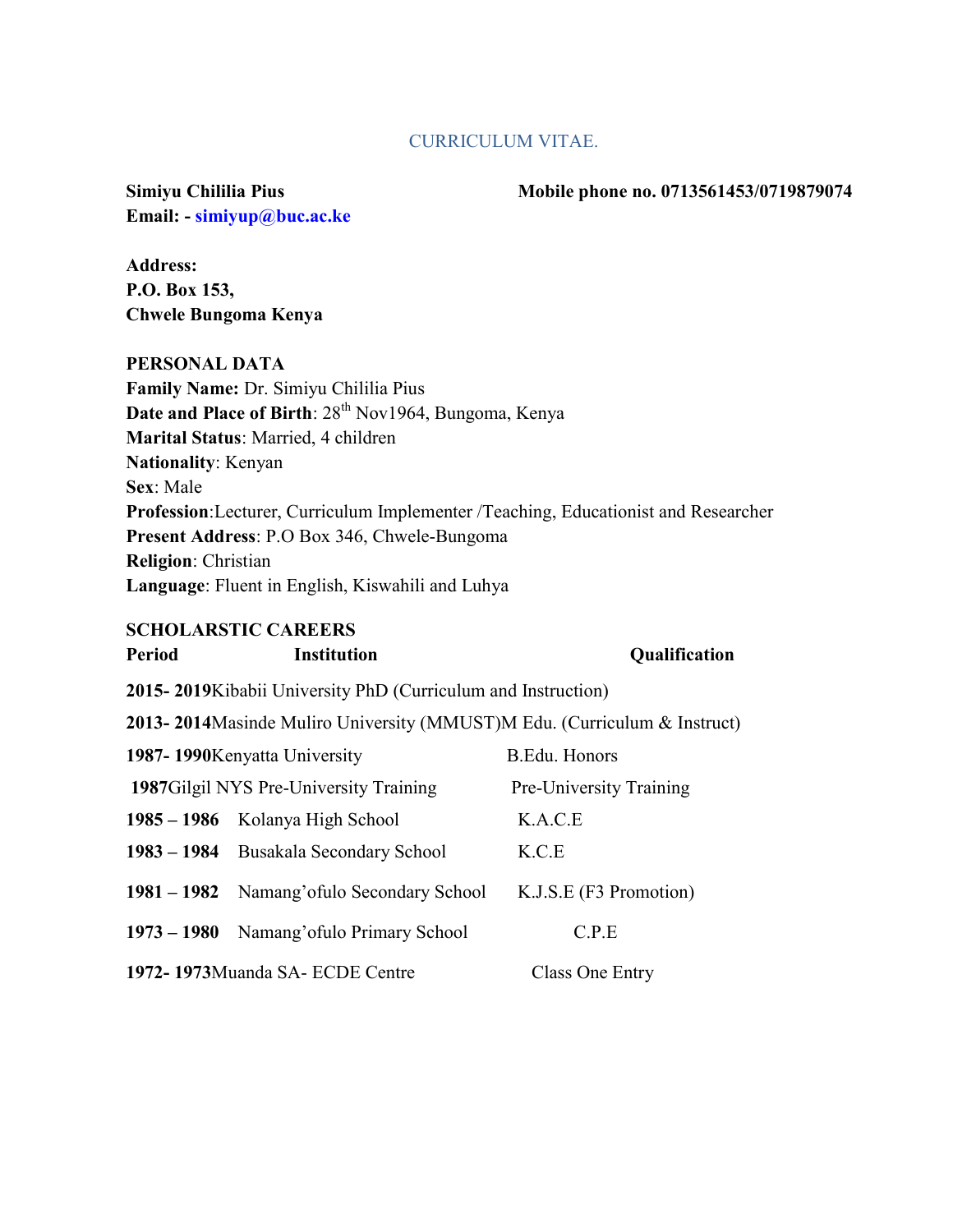#### CURRICULUM VITAE.

Email: - simiyup@buc.ac.ke

Simiyu Chililia Pius **Mobile phone no.** 0713561453/0719879074

Address: P.O. Box 153, Chwele Bungoma Kenya

#### PERSONAL DATA

Family Name: Dr. Simiyu Chililia Pius Date and Place of Birth:  $28<sup>th</sup> Nov1964$ , Bungoma, Kenya Marital Status: Married, 4 children Nationality: Kenyan Sex: Male Profession:Lecturer, Curriculum Implementer /Teaching, Educationist and Researcher Present Address: P.O Box 346, Chwele-Bungoma Religion: Christian Language: Fluent in English, Kiswahili and Luhya

#### SCHOLARSTIC CAREERS

| <b>Period</b>                                                              | <b>Institution</b>                          | <b>Qualification</b>    |
|----------------------------------------------------------------------------|---------------------------------------------|-------------------------|
| 2015-2019 Kibabii University PhD (Curriculum and Instruction)              |                                             |                         |
| 2013-2014 Masinde Muliro University (MMUST) M Edu. (Curriculum & Instruct) |                                             |                         |
| 1987-1990 Kenyatta University                                              |                                             | B.Edu. Honors           |
|                                                                            | 1987 Gilgil NYS Pre-University Training     | Pre-University Training |
|                                                                            | 1985 – 1986 Kolanya High School             | K.A.C.E                 |
|                                                                            | 1983 – 1984 Busakala Secondary School       | K.C.E                   |
|                                                                            | 1981 – 1982 Namang' of ulo Secondary School | K.J.S.E (F3 Promotion)  |
|                                                                            | 1973 – 1980 Namang' of ulo Primary School   | C.P.E                   |
| 1972-1973Muanda SA-ECDE Centre                                             |                                             | Class One Entry         |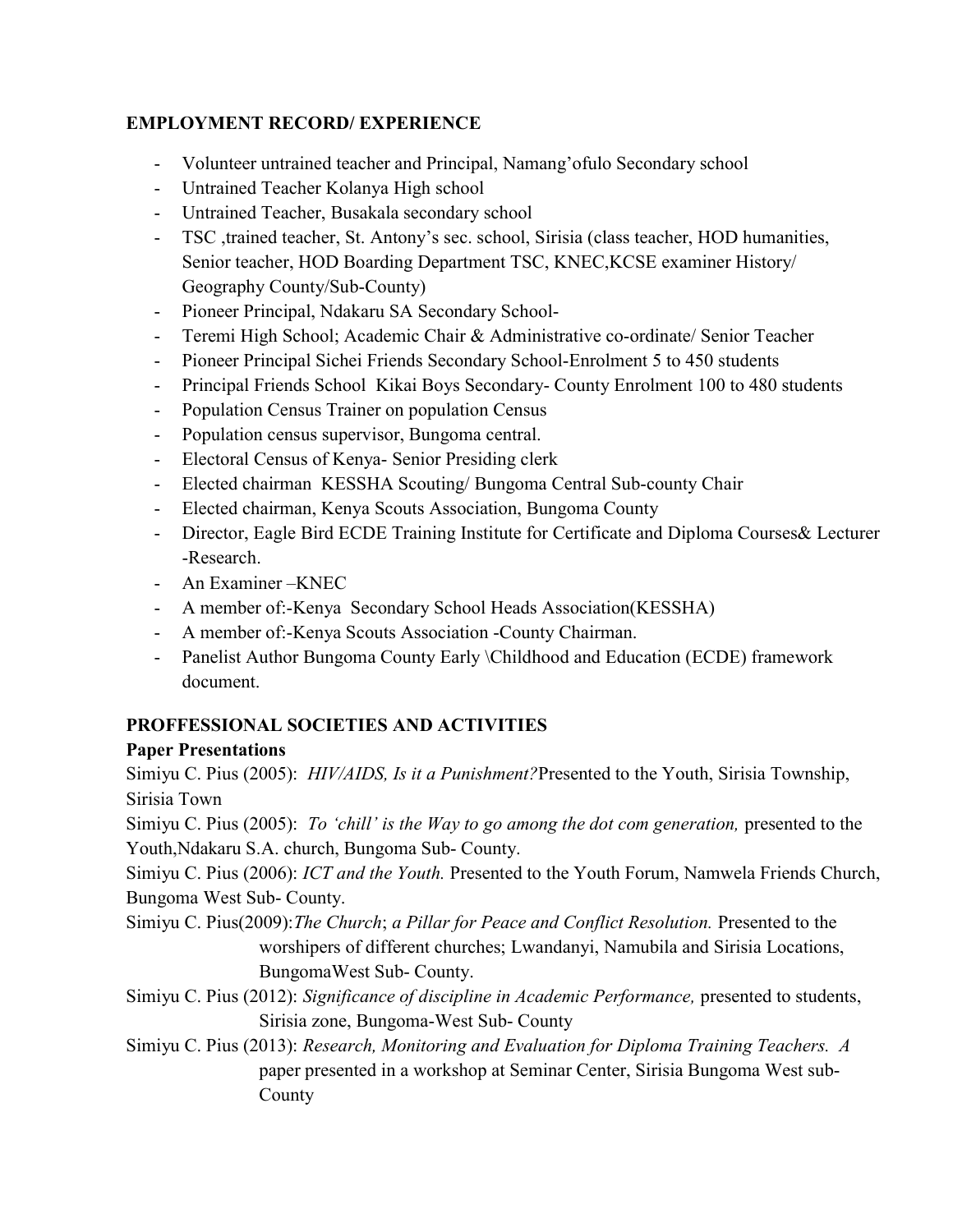# EMPLOYMENT RECORD/ EXPERIENCE

- Volunteer untrained teacher and Principal, Namang'ofulo Secondary school
- Untrained Teacher Kolanya High school
- Untrained Teacher, Busakala secondary school
- TSC ,trained teacher, St. Antony's sec. school, Sirisia (class teacher, HOD humanities, Senior teacher, HOD Boarding Department TSC, KNEC,KCSE examiner History/ Geography County/Sub-County)
- Pioneer Principal, Ndakaru SA Secondary School-
- Teremi High School; Academic Chair & Administrative co-ordinate/ Senior Teacher
- Pioneer Principal Sichei Friends Secondary School-Enrolment 5 to 450 students
- Principal Friends School Kikai Boys Secondary- County Enrolment 100 to 480 students
- Population Census Trainer on population Census
- Population census supervisor, Bungoma central.
- Electoral Census of Kenya- Senior Presiding clerk
- Elected chairman KESSHA Scouting/ Bungoma Central Sub-county Chair
- Elected chairman, Kenya Scouts Association, Bungoma County
- Director, Eagle Bird ECDE Training Institute for Certificate and Diploma Courses& Lecturer -Research.
- An Examiner –KNEC
- A member of:-Kenya Secondary School Heads Association(KESSHA)
- A member of:-Kenya Scouts Association -County Chairman.
- Panelist Author Bungoma County Early \Childhood and Education (ECDE) framework document.

# PROFFESSIONAL SOCIETIES AND ACTIVITIES

# Paper Presentations

Simiyu C. Pius (2005): HIV/AIDS, Is it a Punishment? Presented to the Youth, Sirisia Township, Sirisia Town

Simiyu C. Pius (2005): To 'chill' is the Way to go among the dot com generation, presented to the Youth,Ndakaru S.A. church, Bungoma Sub- County.

Simiyu C. Pius (2006): ICT and the Youth. Presented to the Youth Forum, Namwela Friends Church, Bungoma West Sub- County.

- Simiyu C. Pius(2009): The Church; a Pillar for Peace and Conflict Resolution. Presented to the worshipers of different churches; Lwandanyi, Namubila and Sirisia Locations, BungomaWest Sub- County.
- Simiyu C. Pius (2012): Significance of discipline in Academic Performance, presented to students, Sirisia zone, Bungoma-West Sub- County
- Simiyu C. Pius (2013): Research, Monitoring and Evaluation for Diploma Training Teachers. A paper presented in a workshop at Seminar Center, Sirisia Bungoma West sub-County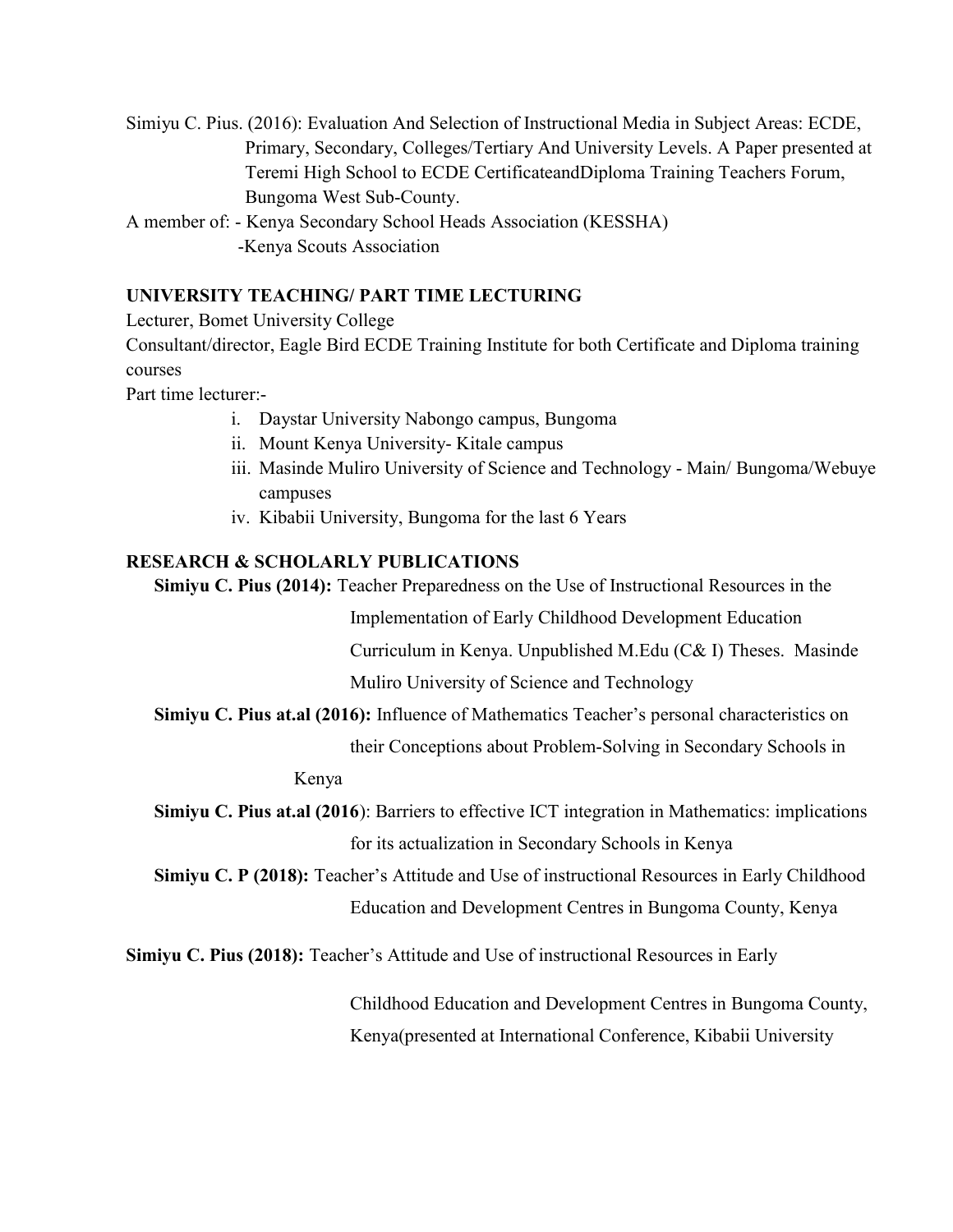Simiyu C. Pius. (2016): Evaluation And Selection of Instructional Media in Subject Areas: ECDE, Primary, Secondary, Colleges/Tertiary And University Levels. A Paper presented at Teremi High School to ECDE CertificateandDiploma Training Teachers Forum, Bungoma West Sub-County.

A member of: - Kenya Secondary School Heads Association (KESSHA) -Kenya Scouts Association

# UNIVERSITY TEACHING/ PART TIME LECTURING

Lecturer, Bomet University College

Consultant/director, Eagle Bird ECDE Training Institute for both Certificate and Diploma training courses

Part time lecturer:-

- i. Daystar University Nabongo campus, Bungoma
- ii. Mount Kenya University- Kitale campus
- iii. Masinde Muliro University of Science and Technology Main/ Bungoma/Webuye campuses
- iv. Kibabii University, Bungoma for the last 6 Years

# RESEARCH & SCHOLARLY PUBLICATIONS

Simiyu C. Pius (2014): Teacher Preparedness on the Use of Instructional Resources in the

 Implementation of Early Childhood Development Education Curriculum in Kenya. Unpublished M.Edu (C& I) Theses. Masinde Muliro University of Science and Technology

Simiyu C. Pius at.al (2016): Influence of Mathematics Teacher's personal characteristics on

their Conceptions about Problem-Solving in Secondary Schools in

#### Kenya

Simiyu C. Pius at.al (2016): Barriers to effective ICT integration in Mathematics: implications for its actualization in Secondary Schools in Kenya

Simiyu C. P (2018): Teacher's Attitude and Use of instructional Resources in Early Childhood Education and Development Centres in Bungoma County, Kenya

Simiyu C. Pius (2018): Teacher's Attitude and Use of instructional Resources in Early

 Childhood Education and Development Centres in Bungoma County, Kenya(presented at International Conference, Kibabii University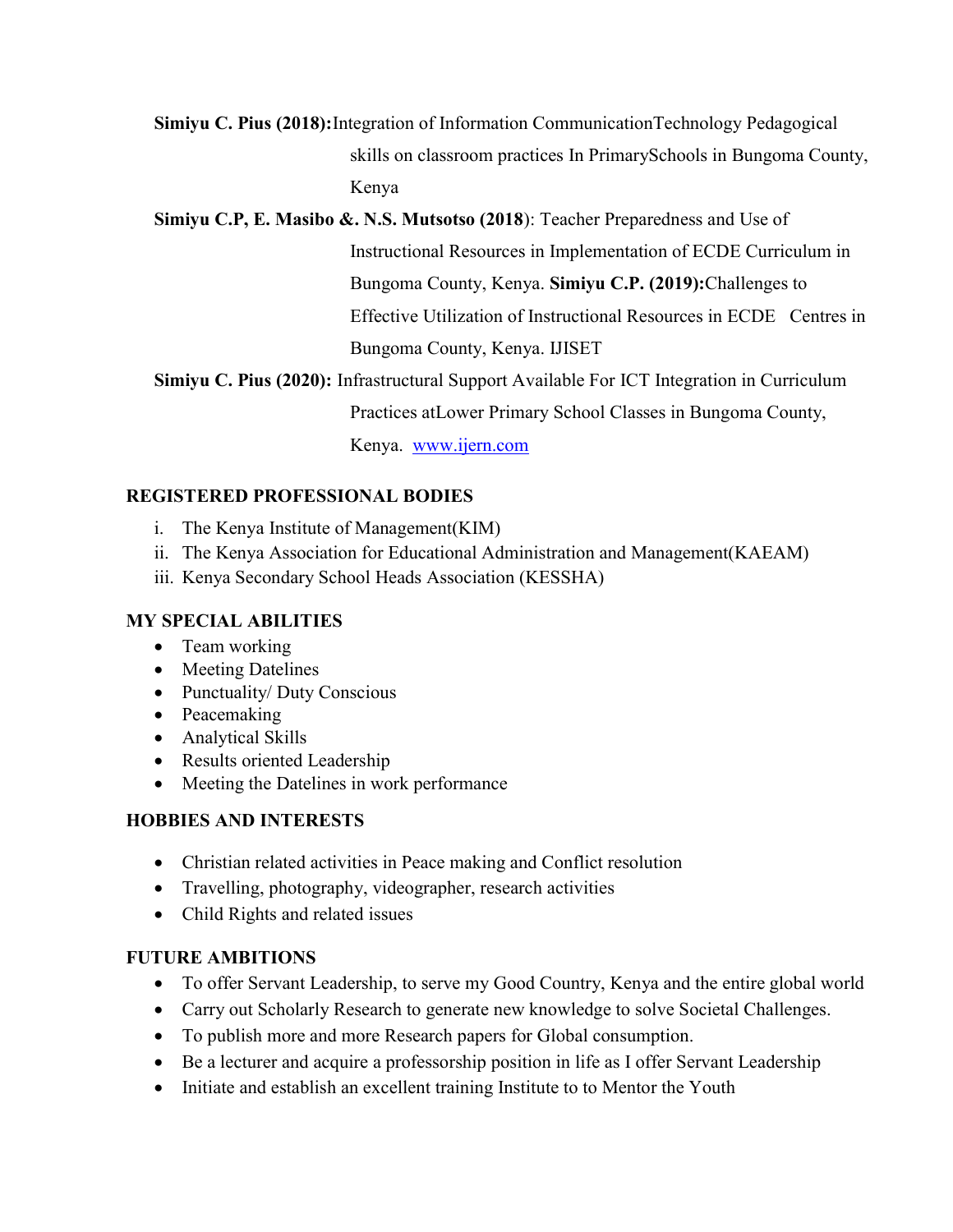# Simiyu C. Pius (2018):Integration of Information CommunicationTechnology Pedagogical skills on classroom practices In PrimarySchools in Bungoma County, Kenya

#### Simiyu C.P, E. Masibo &. N.S. Mutsotso (2018): Teacher Preparedness and Use of

 Instructional Resources in Implementation of ECDE Curriculum in Bungoma County, Kenya. Simiyu C.P. (2019):Challenges to Effective Utilization of Instructional Resources in ECDE Centres in Bungoma County, Kenya. IJISET

Simiyu C. Pius (2020): Infrastructural Support Available For ICT Integration in Curriculum

Practices atLower Primary School Classes in Bungoma County,

Kenya. www.ijern.com

### REGISTERED PROFESSIONAL BODIES

- i. The Kenya Institute of Management(KIM)
- ii. The Kenya Association for Educational Administration and Management(KAEAM)
- iii. Kenya Secondary School Heads Association (KESSHA)

#### MY SPECIAL ABILITIES

- Team working
- Meeting Datelines
- Punctuality/ Duty Conscious
- Peacemaking
- Analytical Skills
- Results oriented Leadership
- Meeting the Datelines in work performance

# HOBBIES AND INTERESTS

- Christian related activities in Peace making and Conflict resolution
- Travelling, photography, videographer, research activities
- Child Rights and related issues

#### FUTURE AMBITIONS

- To offer Servant Leadership, to serve my Good Country, Kenya and the entire global world
- Carry out Scholarly Research to generate new knowledge to solve Societal Challenges.
- To publish more and more Research papers for Global consumption.
- Be a lecturer and acquire a professorship position in life as I offer Servant Leadership
- Initiate and establish an excellent training Institute to to Mentor the Youth